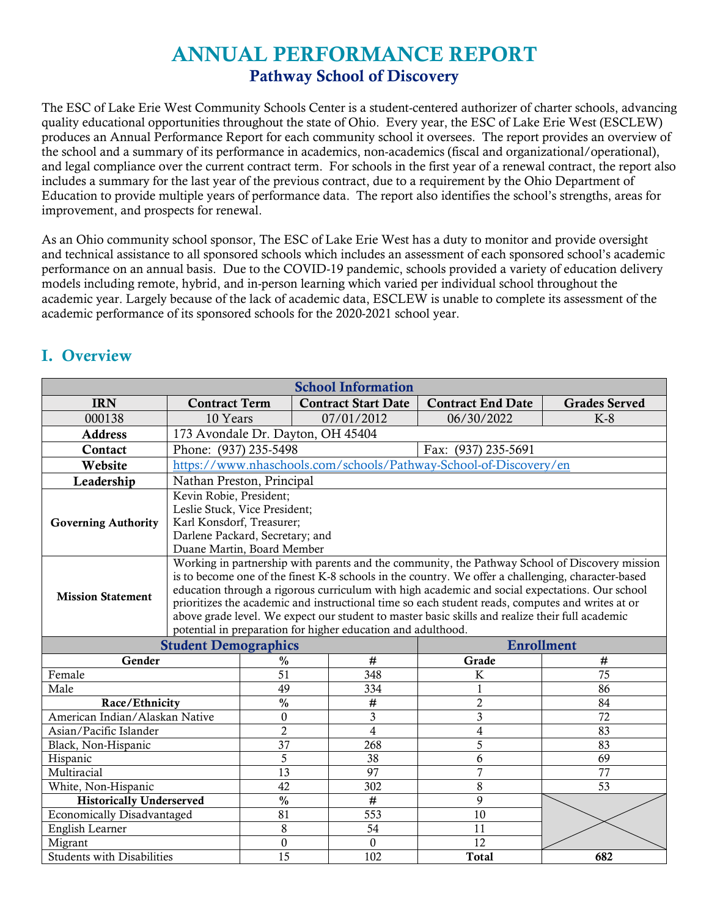# ANNUAL PERFORMANCE REPORT Pathway School of Discovery

The ESC of Lake Erie West Community Schools Center is a student-centered authorizer of charter schools, advancing quality educational opportunities throughout the state of Ohio. Every year, the ESC of Lake Erie West (ESCLEW) produces an Annual Performance Report for each community school it oversees. The report provides an overview of the school and a summary of its performance in academics, non-academics (fiscal and organizational/operational), and legal compliance over the current contract term. For schools in the first year of a renewal contract, the report also includes a summary for the last year of the previous contract, due to a requirement by the Ohio Department of Education to provide multiple years of performance data. The report also identifies the school's strengths, areas for improvement, and prospects for renewal.

As an Ohio community school sponsor, The ESC of Lake Erie West has a duty to monitor and provide oversight and technical assistance to all sponsored schools which includes an assessment of each sponsored school's academic performance on an annual basis. Due to the COVID-19 pandemic, schools provided a variety of education delivery models including remote, hybrid, and in-person learning which varied per individual school throughout the academic year. Largely because of the lack of academic data, ESCLEW is unable to complete its assessment of the academic performance of its sponsored schools for the 2020-2021 school year.

| <b>School Information</b>                        |                                             |                                                                                                                                                                                                                                                                                                                                                                                                                                                                                                                                                                               |                            |                                                                   |                      |  |
|--------------------------------------------------|---------------------------------------------|-------------------------------------------------------------------------------------------------------------------------------------------------------------------------------------------------------------------------------------------------------------------------------------------------------------------------------------------------------------------------------------------------------------------------------------------------------------------------------------------------------------------------------------------------------------------------------|----------------------------|-------------------------------------------------------------------|----------------------|--|
| <b>IRN</b>                                       | <b>Contract Term</b>                        |                                                                                                                                                                                                                                                                                                                                                                                                                                                                                                                                                                               | <b>Contract Start Date</b> | <b>Contract End Date</b>                                          | <b>Grades Served</b> |  |
| 000138                                           | 10 Years                                    |                                                                                                                                                                                                                                                                                                                                                                                                                                                                                                                                                                               | 07/01/2012                 | 06/30/2022                                                        | $K-8$                |  |
| <b>Address</b>                                   | 173 Avondale Dr. Dayton, OH 45404           |                                                                                                                                                                                                                                                                                                                                                                                                                                                                                                                                                                               |                            |                                                                   |                      |  |
| Contact                                          | Phone: (937) 235-5498                       |                                                                                                                                                                                                                                                                                                                                                                                                                                                                                                                                                                               |                            | Fax: (937) 235-5691                                               |                      |  |
| Website                                          |                                             |                                                                                                                                                                                                                                                                                                                                                                                                                                                                                                                                                                               |                            | https://www.nhaschools.com/schools/Pathway-School-of-Discovery/en |                      |  |
| Leadership                                       | Nathan Preston, Principal                   |                                                                                                                                                                                                                                                                                                                                                                                                                                                                                                                                                                               |                            |                                                                   |                      |  |
| <b>Governing Authority</b>                       | Duane Martin, Board Member                  | Kevin Robie, President;<br>Leslie Stuck, Vice President;<br>Karl Konsdorf, Treasurer;<br>Darlene Packard, Secretary; and                                                                                                                                                                                                                                                                                                                                                                                                                                                      |                            |                                                                   |                      |  |
| <b>Mission Statement</b>                         |                                             | Working in partnership with parents and the community, the Pathway School of Discovery mission<br>is to become one of the finest K-8 schools in the country. We offer a challenging, character-based<br>education through a rigorous curriculum with high academic and social expectations. Our school<br>prioritizes the academic and instructional time so each student reads, computes and writes at or<br>above grade level. We expect our student to master basic skills and realize their full academic<br>potential in preparation for higher education and adulthood. |                            |                                                                   |                      |  |
| <b>Enrollment</b><br><b>Student Demographics</b> |                                             |                                                                                                                                                                                                                                                                                                                                                                                                                                                                                                                                                                               |                            |                                                                   |                      |  |
| Gender                                           | $\frac{0}{0}$                               |                                                                                                                                                                                                                                                                                                                                                                                                                                                                                                                                                                               | $\#$                       | Grade                                                             | #                    |  |
| Female                                           | 51                                          |                                                                                                                                                                                                                                                                                                                                                                                                                                                                                                                                                                               | 348                        | $\bf K$                                                           | $\overline{75}$      |  |
| Male                                             | 49                                          |                                                                                                                                                                                                                                                                                                                                                                                                                                                                                                                                                                               | 334                        | 1                                                                 | 86                   |  |
| Race/Ethnicity                                   | $\frac{0}{0}$                               |                                                                                                                                                                                                                                                                                                                                                                                                                                                                                                                                                                               | $\#$                       | $\overline{2}$                                                    | 84                   |  |
| American Indian/Alaskan Native                   | $\mathbf{0}$                                |                                                                                                                                                                                                                                                                                                                                                                                                                                                                                                                                                                               | $\overline{\mathbf{3}}$    | $\overline{\mathbf{3}}$                                           | $\overline{72}$      |  |
| Asian/Pacific Islander                           | $\overline{2}$                              |                                                                                                                                                                                                                                                                                                                                                                                                                                                                                                                                                                               | $\overline{4}$             | 4                                                                 | 83                   |  |
| Black, Non-Hispanic                              | $\overline{37}$                             |                                                                                                                                                                                                                                                                                                                                                                                                                                                                                                                                                                               | 268                        | $\overline{5}$                                                    | 83                   |  |
| Hispanic                                         | 5                                           |                                                                                                                                                                                                                                                                                                                                                                                                                                                                                                                                                                               | 38                         | 6                                                                 | 69                   |  |
| $\overline{7}$<br>13<br>97<br>Multiracial<br>77  |                                             |                                                                                                                                                                                                                                                                                                                                                                                                                                                                                                                                                                               |                            |                                                                   |                      |  |
|                                                  | 42<br>8<br>53<br>White, Non-Hispanic<br>302 |                                                                                                                                                                                                                                                                                                                                                                                                                                                                                                                                                                               |                            |                                                                   |                      |  |
| <b>Historically Underserved</b>                  | $\frac{0}{0}$                               |                                                                                                                                                                                                                                                                                                                                                                                                                                                                                                                                                                               | #                          | 9                                                                 |                      |  |
| <b>Economically Disadvantaged</b>                | 81                                          |                                                                                                                                                                                                                                                                                                                                                                                                                                                                                                                                                                               | 553                        | 10                                                                |                      |  |
| English Learner                                  | 8                                           |                                                                                                                                                                                                                                                                                                                                                                                                                                                                                                                                                                               | 54                         | 11                                                                |                      |  |
| Migrant                                          | $\overline{0}$                              |                                                                                                                                                                                                                                                                                                                                                                                                                                                                                                                                                                               | $\mathbf{0}$               | 12                                                                |                      |  |
| <b>Students with Disabilities</b>                | $\overline{15}$                             |                                                                                                                                                                                                                                                                                                                                                                                                                                                                                                                                                                               | 102                        | <b>Total</b>                                                      | 682                  |  |

### I. Overview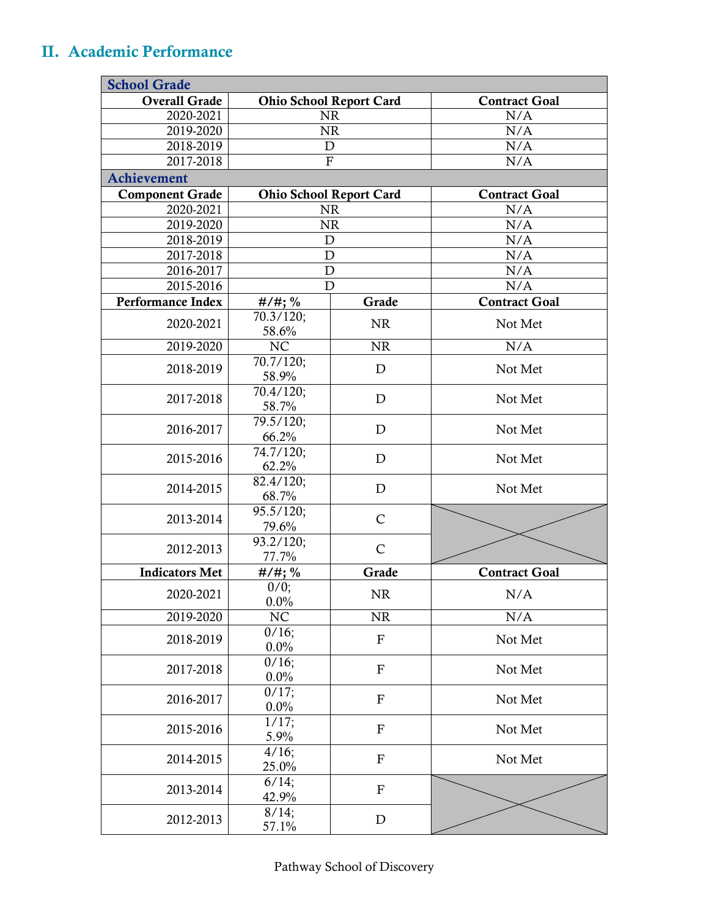## II. Academic Performance

| <b>School Grade</b>      |                         |                                |                      |  |
|--------------------------|-------------------------|--------------------------------|----------------------|--|
| <b>Overall Grade</b>     |                         | <b>Ohio School Report Card</b> | <b>Contract Goal</b> |  |
| 2020-2021                |                         | <b>NR</b>                      | N/A                  |  |
| 2019-2020                |                         | <b>NR</b>                      | N/A                  |  |
| 2018-2019                |                         | $\mathbf D$                    | N/A                  |  |
| 2017-2018                |                         | ${\bf F}$                      | N/A                  |  |
| <b>Achievement</b>       |                         |                                |                      |  |
| <b>Component Grade</b>   |                         | <b>Ohio School Report Card</b> | <b>Contract Goal</b> |  |
| 2020-2021                |                         | <b>NR</b>                      | N/A                  |  |
| 2019-2020                |                         | <b>NR</b>                      | N/A                  |  |
| 2018-2019                |                         | $\mathbf D$                    | N/A                  |  |
| 2017-2018                |                         | D                              | N/A                  |  |
| 2016-2017                |                         | ${\bf D}$                      | N/A                  |  |
| 2015-2016                |                         | D                              | N/A                  |  |
| <b>Performance Index</b> | $#/#$ ; %               | Grade                          | <b>Contract Goal</b> |  |
| 2020-2021                | $70.3/120$ ;<br>58.6%   | <b>NR</b>                      | Not Met              |  |
| 2019-2020                | NC                      | <b>NR</b>                      | N/A                  |  |
| 2018-2019                | 70.7/120;<br>58.9%      | $\mathbf{D}$                   | Not Met              |  |
| 2017-2018                | $70.4/120$ ;<br>58.7%   | $\mathbf{D}$                   | Not Met              |  |
| 2016-2017                | 79.5/120;<br>66.2%      | D                              | Not Met              |  |
| 2015-2016                | 74.7/120;<br>62.2%      | D                              | Not Met              |  |
| 2014-2015                | 82.4/120;<br>68.7%      | $\mathbf D$                    | Not Met              |  |
| 2013-2014                | 95.5/120;<br>79.6%      | $\mathsf{C}$                   |                      |  |
| 2012-2013                | 93.2/120;<br>77.7%      | $\mathsf{C}$                   |                      |  |
| <b>Indicators Met</b>    | $#/#$ ; %               | Grade                          | <b>Contract Goal</b> |  |
| 2020-2021                | 0/0;<br>0.0%            | $\rm NR$                       | N/A                  |  |
| 2019-2020                | NC                      | <b>NR</b>                      | N/A                  |  |
| 2018-2019                | $0/16$ ;<br>0.0%        | $\mathbf F$                    | Not Met              |  |
| 2017-2018                | 0/16;<br>$0.0\%$        | $\mathbf F$                    | Not Met              |  |
| 2016-2017                | 0/17;<br>0.0%           | ${\bf F}$                      | Not Met              |  |
| 2015-2016                | 1/17;<br>5.9%           | $\mathbf{F}$                   | Not Met              |  |
| 2014-2015                | $\frac{4}{16}$<br>25.0% | $\mathbf{F}$                   | Not Met              |  |
| 2013-2014                | 6/14;<br>42.9%          | $\mathbf{F}$                   |                      |  |
| 2012-2013                | 8/14;<br>57.1%          | $\mathbf D$                    |                      |  |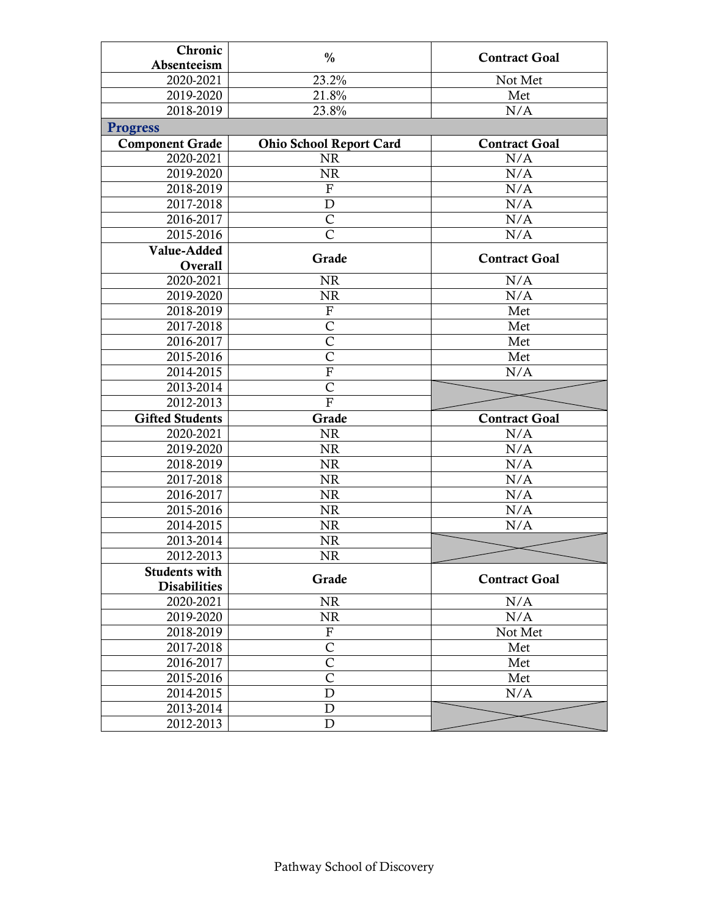| Chronic                | $\frac{0}{0}$                  | <b>Contract Goal</b> |
|------------------------|--------------------------------|----------------------|
| Absenteeism            |                                |                      |
| 2020-2021              | 23.2%                          | Not Met              |
| 2019-2020              | 21.8%                          | Met                  |
| 2018-2019              | 23.8%                          | N/A                  |
| <b>Progress</b>        |                                |                      |
| <b>Component Grade</b> | <b>Ohio School Report Card</b> | <b>Contract Goal</b> |
| 2020-2021              | <b>NR</b>                      | N/A                  |
| 2019-2020              | <b>NR</b>                      | N/A                  |
| 2018-2019              | $\boldsymbol{\mathrm{F}}$      | N/A                  |
| 2017-2018              | $\mathbf D$                    | N/A                  |
| 2016-2017              | $\overline{C}$                 | N/A                  |
| 2015-2016              | $\overline{\mathsf{C}}$        | N/A                  |
| Value-Added            | Grade                          | <b>Contract Goal</b> |
| Overall                |                                |                      |
| 2020-2021              | <b>NR</b>                      | N/A                  |
| 2019-2020              | NR                             | N/A                  |
| 2018-2019              | ${\bf F}$                      | Met                  |
| 2017-2018              | $\mathsf{C}$                   | Met                  |
| 2016-2017              | $\mathsf{C}$                   | Met                  |
| 2015-2016              | $\overline{C}$                 | Met                  |
| 2014-2015              | $\overline{F}$                 | N/A                  |
| 2013-2014              | $\overline{C}$                 |                      |
| 2012-2013              | $\overline{\mathrm{F}}$        |                      |
| <b>Gifted Students</b> | Grade                          | <b>Contract Goal</b> |
|                        |                                |                      |
| 2020-2021              | <b>NR</b>                      | N/A                  |
| 2019-2020              | <b>NR</b>                      | N/A                  |
| 2018-2019              | $\rm NR$                       | N/A                  |
| 2017-2018              | <b>NR</b>                      | N/A                  |
| 2016-2017              | <b>NR</b>                      | N/A                  |
| 2015-2016              | <b>NR</b>                      | N/A                  |
| 2014-2015              | $\rm NR$                       | N/A                  |
| 2013-2014              | $\rm NR$                       |                      |
| 2012-2013              | <b>NR</b>                      |                      |
| <b>Students with</b>   |                                |                      |
| <b>Disabilities</b>    | Grade                          | <b>Contract Goal</b> |
| 2020-2021              | <b>NR</b>                      | N/A                  |
| 2019-2020              | <b>NR</b>                      | N/A                  |
| 2018-2019              | ${\bf F}$                      | Not Met              |
| 2017-2018              | $\mathsf{C}$                   | Met                  |
| 2016-2017              | $\mathsf{C}$                   | Met                  |
| 2015-2016              | $\overline{\mathsf{C}}$        | Met                  |
| 2014-2015              | $\mathbf D$                    | N/A                  |
| 2013-2014<br>2012-2013 | $\mathbf D$<br>$\mathbf D$     |                      |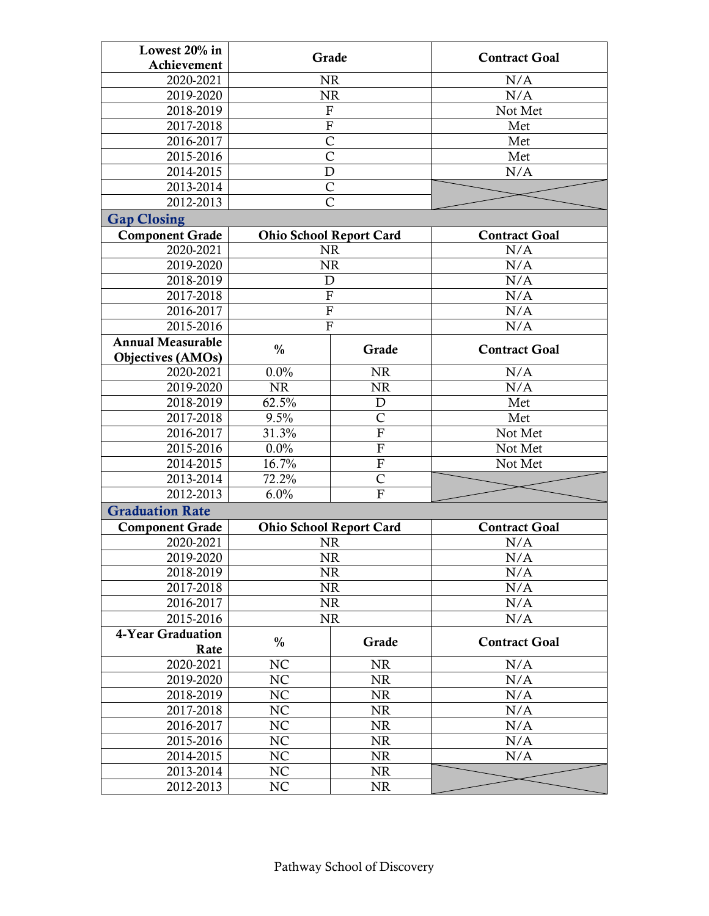| Lowest 20% in            | Grade                          |                         | <b>Contract Goal</b> |  |
|--------------------------|--------------------------------|-------------------------|----------------------|--|
| Achievement              |                                |                         |                      |  |
| 2020-2021                | <b>NR</b>                      |                         | N/A                  |  |
| $\overline{20}$ 19-2020  | <b>NR</b>                      |                         | N/A                  |  |
| 2018-2019                | $\mathbf{F}$                   |                         | Not Met              |  |
| 2017-2018                | $\overline{F}$                 |                         | Met                  |  |
| 2016-2017                | $\mathsf{C}$                   |                         | Met                  |  |
| 2015-2016                | $\overline{C}$                 |                         | Met                  |  |
| $\overline{20}$ 14-2015  | D                              |                         | N/A                  |  |
| 2013-2014                | $\overline{C}$                 |                         |                      |  |
| 2012-2013                | $\overline{C}$                 |                         |                      |  |
| <b>Gap Closing</b>       |                                |                         |                      |  |
| <b>Component Grade</b>   | <b>Ohio School Report Card</b> |                         | <b>Contract Goal</b> |  |
| 2020-2021                | <b>NR</b>                      |                         | N/A                  |  |
| 2019-2020                | <b>NR</b>                      |                         | N/A                  |  |
| 2018-2019                | D                              |                         | N/A                  |  |
| 2017-2018                | $\overline{F}$                 |                         | N/A                  |  |
| $\overline{20}$ 16-2017  | $\overline{F}$                 |                         | N/A                  |  |
| 2015-2016                | $\overline{F}$                 |                         | N/A                  |  |
| <b>Annual Measurable</b> | $\frac{0}{0}$                  | Grade                   | <b>Contract Goal</b> |  |
| Objectives (AMOs)        |                                |                         |                      |  |
| 2020-2021                | 0.0%                           | <b>NR</b>               | N/A                  |  |
| 2019-2020                | <b>NR</b>                      | <b>NR</b>               | N/A                  |  |
| 2018-2019                | 62.5%                          | $\mathbf D$             | Met                  |  |
| 2017-2018                | 9.5%                           | $\mathsf{C}$            | Met                  |  |
| 2016-2017                | 31.3%                          | $\overline{\mathrm{F}}$ | Not Met              |  |
| 2015-2016                | 0.0%                           | $\overline{F}$          | Not Met              |  |
| 2014-2015                | 16.7%                          | $\overline{F}$          | Not Met              |  |
| 2013-2014                | 72.2%                          | $\mathsf{C}$            |                      |  |
| 2012-2013                | 6.0%                           | F                       |                      |  |
| <b>Graduation Rate</b>   |                                |                         |                      |  |
| <b>Component Grade</b>   | <b>Ohio School Report Card</b> |                         | <b>Contract Goal</b> |  |
| 2020-2021                | <b>NR</b>                      |                         | N/A                  |  |
| 2019-2020                | NR                             |                         | N/A                  |  |
| 2018-2019                | <b>NR</b>                      |                         | N/A                  |  |
| 2017-2018                | <b>NR</b>                      |                         | N/A                  |  |
| 2016-2017                | <b>NR</b>                      |                         | N/A                  |  |
| 2015-2016                | <b>NR</b>                      |                         | N/A                  |  |
| 4-Year Graduation        | $\frac{0}{0}$                  | Grade                   | <b>Contract Goal</b> |  |
| Rate                     |                                |                         |                      |  |
| 2020-2021                | NC                             | <b>NR</b>               | N/A                  |  |
| 2019-2020                | NC                             | <b>NR</b>               | N/A                  |  |
| 2018-2019                | NC                             | <b>NR</b>               | N/A                  |  |
| 2017-2018                | NC                             | <b>NR</b>               | N/A                  |  |
| 2016-2017                | NC<br>NC                       | NR                      | N/A<br>N/A           |  |
| 2015-2016                | NC                             | <b>NR</b>               |                      |  |
| 2014-2015                |                                | <b>NR</b>               | N/A                  |  |
| 2013-2014                | NC                             | <b>NR</b>               |                      |  |
| 2012-2013                | NC                             | <b>NR</b>               |                      |  |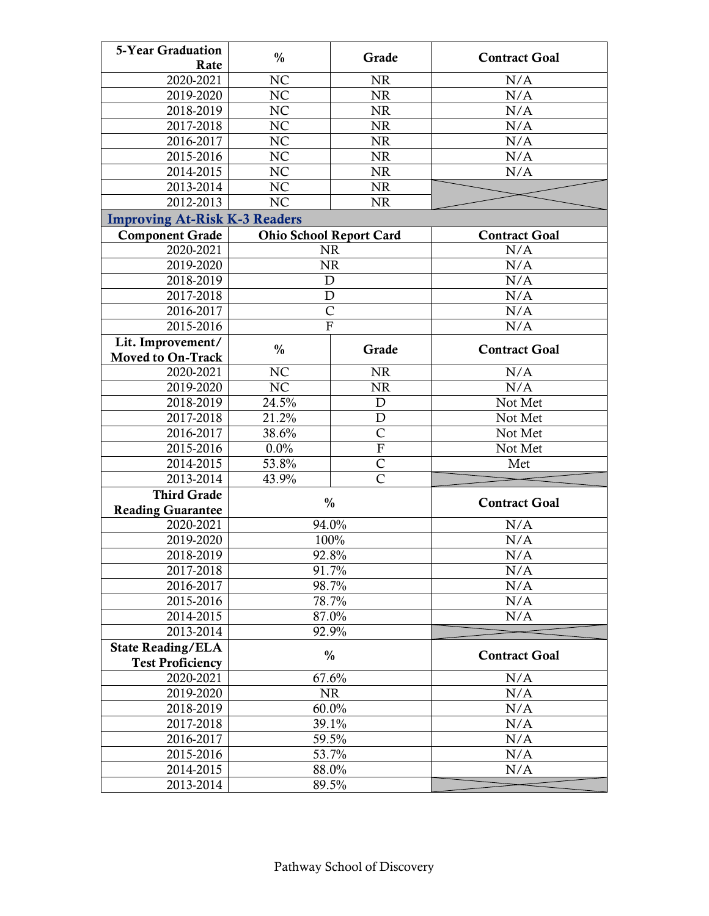| <b>5-Year Graduation</b>             | $\frac{0}{0}$                  | Grade          | <b>Contract Goal</b> |
|--------------------------------------|--------------------------------|----------------|----------------------|
| Rate                                 |                                |                |                      |
| 2020-2021                            | NC                             | <b>NR</b>      | N/A                  |
| 2019-2020                            | NC                             | <b>NR</b>      | N/A                  |
| 2018-2019                            | NC                             | <b>NR</b>      | N/A                  |
| 2017-2018                            | <b>NC</b>                      | <b>NR</b>      | N/A                  |
| 2016-2017                            | NC                             | NR             | N/A                  |
| 2015-2016                            | NC                             | <b>NR</b>      | N/A                  |
| 2014-2015                            | $N\overline{C}$                | $\rm NR$       | N/A                  |
| 2013-2014                            | NC                             | <b>NR</b>      |                      |
| 2012-2013                            | NC                             | <b>NR</b>      |                      |
| <b>Improving At-Risk K-3 Readers</b> |                                |                |                      |
| <b>Component Grade</b>               | <b>Ohio School Report Card</b> |                | <b>Contract Goal</b> |
| 2020-2021                            | <b>NR</b>                      |                | N/A                  |
| 2019-2020                            | <b>NR</b>                      |                | N/A                  |
| 2018-2019                            | $\mathbf D$                    |                | N/A                  |
| 2017-2018                            | D                              |                | N/A                  |
| 2016-2017                            | $\overline{C}$                 |                | N/A                  |
| 2015-2016                            | $\mathbf{F}$                   |                | N/A                  |
| Lit. Improvement/                    | $\frac{0}{0}$                  | Grade          | <b>Contract Goal</b> |
| <b>Moved to On-Track</b>             |                                |                |                      |
| 2020-2021                            | NC                             | <b>NR</b>      | N/A                  |
| 2019-2020                            | NC                             | <b>NR</b>      | N/A                  |
| 2018-2019                            | 24.5%                          | $\mathbf D$    | Not Met              |
| 2017-2018                            | 21.2%                          | $\mathbf D$    | Not Met              |
| 2016-2017                            | 38.6%                          | $\overline{C}$ | Not Met              |
| 2015-2016                            | 0.0%                           | $\overline{F}$ | Not Met              |
| 2014-2015                            | 53.8%                          | $\overline{C}$ | Met                  |
| 2013-2014                            | 43.9%                          | Ċ              |                      |
| <b>Third Grade</b>                   | $\frac{0}{0}$                  |                | <b>Contract Goal</b> |
| <b>Reading Guarantee</b>             |                                |                |                      |
| 2020-2021                            | 94.0%                          |                | N/A                  |
| 2019-2020                            |                                | 100%           | N/A                  |
| 2018-2019                            | 92.8%                          |                | N/A                  |
| 2017-2018                            | 91.7%                          |                | N/A                  |
| 2016-2017                            | 98.7%                          |                | N/A                  |
| 2015-2016                            | 78.7%                          |                | N/A                  |
| 2014-2015                            | 87.0%                          |                | N/A                  |
| 2013-2014                            | 92.9%                          |                |                      |
| <b>State Reading/ELA</b>             |                                |                |                      |
| <b>Test Proficiency</b>              | $\frac{0}{0}$                  |                | <b>Contract Goal</b> |
| 2020-2021                            | 67.6%                          |                | N/A                  |
| 2019-2020                            | <b>NR</b>                      |                | N/A                  |
| 2018-2019                            | 60.0%                          |                | N/A                  |
| 2017-2018                            | 39.1%                          |                | N/A                  |
| 2016-2017                            | 59.5%                          |                | N/A                  |
| 2015-2016                            | 53.7%                          |                | N/A                  |
| 2014-2015                            | 88.0%                          |                | N/A                  |
| 2013-2014                            | 89.5%                          |                |                      |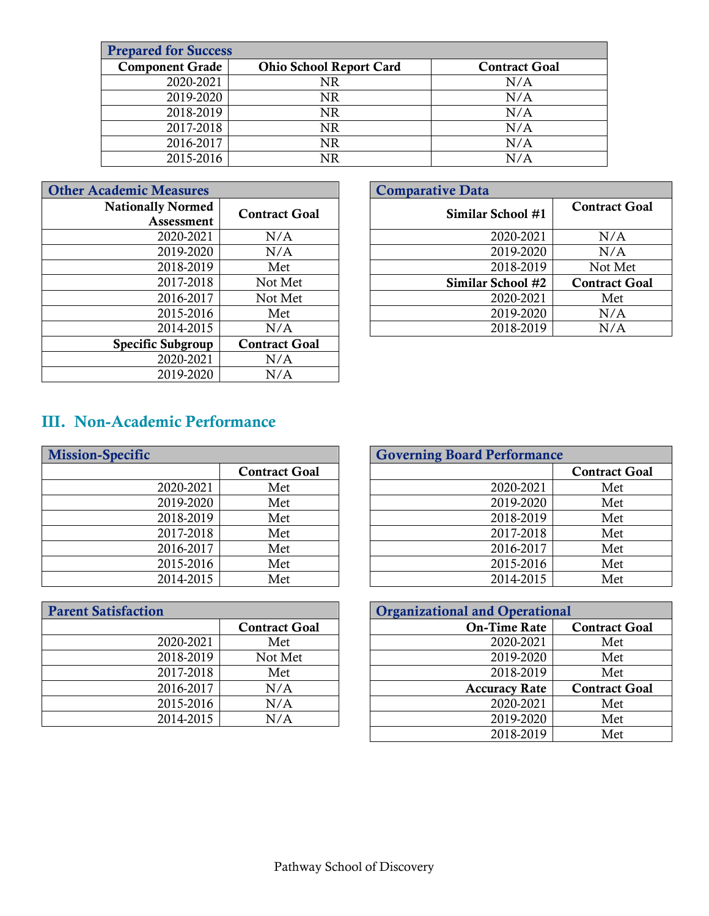| <b>Prepared for Success</b> |                                |                      |  |  |
|-----------------------------|--------------------------------|----------------------|--|--|
| <b>Component Grade</b>      | <b>Ohio School Report Card</b> | <b>Contract Goal</b> |  |  |
| 2020-2021                   | NR                             | N/A                  |  |  |
| 2019-2020                   | NR                             | N/A                  |  |  |
| 2018-2019                   | NR                             | N/A                  |  |  |
| 2017-2018                   | NR                             | N/A                  |  |  |
| 2016-2017                   | NR                             | N/A                  |  |  |
| 2015-2016                   | NR                             | N/A                  |  |  |

| <b>Other Academic Measures</b> |                      | <b>Comparative Data</b> |
|--------------------------------|----------------------|-------------------------|
| <b>Nationally Normed</b>       | <b>Contract Goal</b> | <b>Similar</b>          |
| Assessment                     |                      |                         |
| 2020-2021                      | N/A                  |                         |
| 2019-2020                      | N/A                  |                         |
| 2018-2019                      | Met                  |                         |
| 2017-2018                      | Not Met              | <b>Similar</b>          |
| 2016-2017                      | Not Met              |                         |
| 2015-2016                      | Met                  |                         |
| 2014-2015                      | N/A                  |                         |
| <b>Specific Subgroup</b>       | <b>Contract Goal</b> |                         |
| 2020-2021                      | N/A                  |                         |
| 2019-2020                      | N/A                  |                         |

| <b>Measures</b> |                      |  | <b>Comparative Data</b> |                      |
|-----------------|----------------------|--|-------------------------|----------------------|
| lly Normed      | <b>Contract Goal</b> |  | Similar School #1       | <b>Contract Goal</b> |
| Assessment      |                      |  |                         |                      |
| 2020-2021       | N/A                  |  | 2020-2021               | N/A                  |
| 2019-2020       | N/A                  |  | 2019-2020               | N/A                  |
| 2018-2019       | Met                  |  | 2018-2019               | Not Met              |
| 2017-2018       | Not Met              |  | Similar School #2       | <b>Contract Goal</b> |
| 2016-2017       | Not Met              |  | 2020-2021               | Met                  |
| 2015-2016       | Met                  |  | 2019-2020               | N/A                  |
| 2014-2015       | N/A                  |  | 2018-2019               | N/A                  |

## III. Non-Academic Performance

| <b>Mission-Specific</b> |                      | <b>Governing Board Performance</b> |
|-------------------------|----------------------|------------------------------------|
|                         | <b>Contract Goal</b> |                                    |
| 2020-2021               | Met                  | 2020-2021                          |
| 2019-2020               | Met                  | 2019-2020                          |
| 2018-2019               | Met                  | 2018-2019                          |
| 2017-2018               | Met                  | 2017-2018                          |
| 2016-2017               | Met                  | 2016-2017                          |
| 2015-2016               | Met                  | 2015-2016                          |
| 2014-2015               | Met                  | 2014-2015                          |

| <b>Parent Satisfaction</b> |                      | <b>Organizational and Operational</b> |
|----------------------------|----------------------|---------------------------------------|
|                            | <b>Contract Goal</b> | <b>On-Time Rate</b>                   |
| 2020-2021                  | Met                  | 2020-2021                             |
| 2018-2019                  | Not Met              | 2019-2020                             |
| 2017-2018                  | Met                  | 2018-2019                             |
| 2016-2017                  | N/A                  | <b>Accuracy Rate</b>                  |
| 2015-2016                  | N/A                  | 2020-2021                             |
| 2014-2015                  | N/A                  | 2019-2020                             |
|                            |                      |                                       |

|           |                      | <b>Governing Board Performance</b> |                      |
|-----------|----------------------|------------------------------------|----------------------|
|           | <b>Contract Goal</b> |                                    | <b>Contract Goal</b> |
| 2020-2021 | Met                  | 2020-2021                          | Met                  |
| 2019-2020 | Met                  | 2019-2020                          | Met                  |
| 2018-2019 | Met                  | 2018-2019                          | Met                  |
| 2017-2018 | Met                  | 2017-2018                          | Met                  |
| 2016-2017 | Met                  | 2016-2017                          | Met                  |
| 2015-2016 | Met                  | 2015-2016                          | Met                  |
| 2014-2015 | Met                  | 2014-2015                          | Met                  |

|           |                      | <b>Organizational and Operational</b> |                      |
|-----------|----------------------|---------------------------------------|----------------------|
|           | <b>Contract Goal</b> | <b>On-Time Rate</b>                   | <b>Contract Goal</b> |
| 2020-2021 | Met                  | 2020-2021                             | Met                  |
| 2018-2019 | Not Met              | 2019-2020                             | Met                  |
| 2017-2018 | Met                  | 2018-2019                             | Met                  |
| 2016-2017 | N/A                  | <b>Accuracy Rate</b>                  | <b>Contract Goal</b> |
| 2015-2016 | N/A                  | 2020-2021                             | Met                  |
| 2014-2015 | N/A                  | 2019-2020                             | Met                  |
|           |                      | 2018-2019                             | Met                  |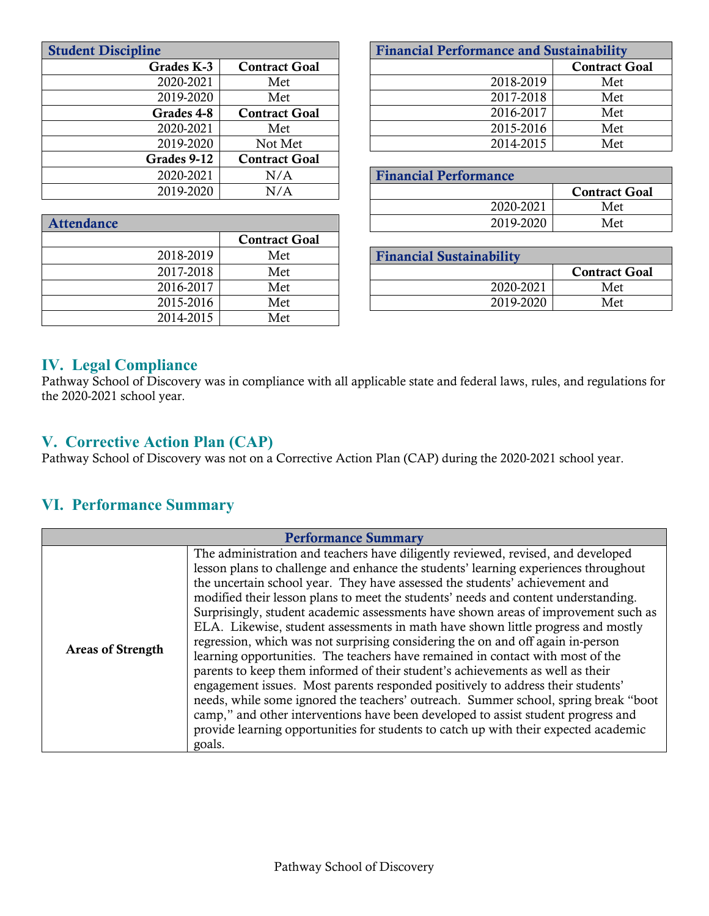| <b>Student Discipline</b>           |                              | <b>Financial Performance and Sustainability</b> |          |
|-------------------------------------|------------------------------|-------------------------------------------------|----------|
| Grades K-3<br><b>Contract Goal</b>  |                              |                                                 | Contract |
| 2020-2021<br>Met                    |                              | 2018-2019                                       | Met      |
| 2019-2020<br>Met                    |                              | 2017-2018                                       | Met      |
| Grades 4-8<br><b>Contract Goal</b>  |                              | 2016-2017                                       | Met      |
| 2020-2021<br>Met                    |                              | 2015-2016                                       | Met      |
| 2019-2020<br>Not Met                |                              | 2014-2015                                       | Met      |
| Grades 9-12<br><b>Contract Goal</b> |                              |                                                 |          |
| 2020-2021<br>N/A                    | <b>Financial Performance</b> |                                                 |          |
| 2019-2020<br>N/A                    |                              |                                                 | Contract |
|                                     |                              |                                                 |          |

| ne         |                      | <b>Financial Performance and Sustainability</b> |                      |
|------------|----------------------|-------------------------------------------------|----------------------|
| Grades K-3 | <b>Contract Goal</b> |                                                 | <b>Contract Goal</b> |
| 2020-2021  | Met                  | 2018-2019                                       | Met                  |
| 2019-2020  | Met                  | 2017-2018                                       | Met                  |
| Grades 4-8 | <b>Contract Goal</b> | 2016-2017                                       | Met                  |
| 2020-2021  | Met                  | 2015-2016                                       | Met                  |
| 2019-2020  | Not Met              | 2014-2015                                       | Met                  |

| 2020-2021 | N/A | <b>Financial Performance</b> |                      |
|-----------|-----|------------------------------|----------------------|
| 2019-2020 | N/A |                              | <b>Contract Goal</b> |
|           |     | 2020-2021                    | Met                  |
|           |     | 2019-2020                    | Met                  |

| <b>Financial Sustainability</b> |                      |  |
|---------------------------------|----------------------|--|
|                                 | <b>Contract Goal</b> |  |
| 2020-2021                       | Met                  |  |
| 2019-2020                       | Met                  |  |

#### **IV. Legal Compliance**

Attendance

Pathway School of Discovery was in compliance with all applicable state and federal laws, rules, and regulations for the 2020-2021 school year.

#### **V. Corrective Action Plan (CAP)**

Pathway School of Discovery was not on a Corrective Action Plan (CAP) during the 2020-2021 school year.

Contract Goal

2018-2019 Met 2017-2018 Met 2016-2017 Met 2015-2016 Met 2014-2015 Met

#### **VI. Performance Summary**

| <b>Performance Summary</b> |                                                                                                                                                                                                                                                                                                                                                                                                                                                                                                                                                                                                                                                                                                                                                                                                                                                                                                                                                                                                                                                                                                                                                |  |
|----------------------------|------------------------------------------------------------------------------------------------------------------------------------------------------------------------------------------------------------------------------------------------------------------------------------------------------------------------------------------------------------------------------------------------------------------------------------------------------------------------------------------------------------------------------------------------------------------------------------------------------------------------------------------------------------------------------------------------------------------------------------------------------------------------------------------------------------------------------------------------------------------------------------------------------------------------------------------------------------------------------------------------------------------------------------------------------------------------------------------------------------------------------------------------|--|
| <b>Areas of Strength</b>   | The administration and teachers have diligently reviewed, revised, and developed<br>lesson plans to challenge and enhance the students' learning experiences throughout<br>the uncertain school year. They have assessed the students' achievement and<br>modified their lesson plans to meet the students' needs and content understanding.<br>Surprisingly, student academic assessments have shown areas of improvement such as<br>ELA. Likewise, student assessments in math have shown little progress and mostly<br>regression, which was not surprising considering the on and off again in-person<br>learning opportunities. The teachers have remained in contact with most of the<br>parents to keep them informed of their student's achievements as well as their<br>engagement issues. Most parents responded positively to address their students'<br>needs, while some ignored the teachers' outreach. Summer school, spring break "boot<br>camp," and other interventions have been developed to assist student progress and<br>provide learning opportunities for students to catch up with their expected academic<br>goals. |  |